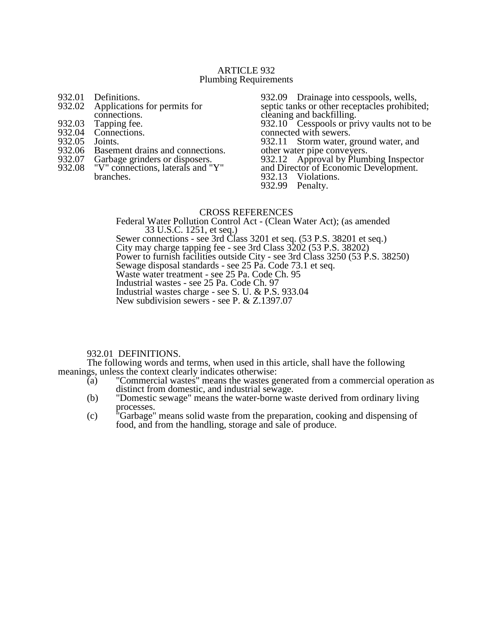# ARTICLE 932 Plumbing Requirements

- 932.01 Definitions.<br>932.02 Applications
- Applications for permits for
- connections.
- 932.03 Tapping fee.<br>932.04 Connections.
- Connections.<br>Joints.
- 932.05<br>932.06
- 932.06 Basement drains and connections.<br>932.07 Garbage grinders or disposers.
- 932.07 Garbage grinders or disposers.<br>932.08 "V" connections, laterals and "
- "V" connections, laterals and "Y" branches.

932.09 Drainage into cesspools, wells, septic tanks or other receptacles prohibited; cleaning and backfilling. 932.10 Cesspools or privy vaults not to be connected with sewers. 932.11 Storm water, ground water, and other water pipe conveyers. 932.12 Approval by Plumbing Inspector and Director of Economic Development. 932.13 Violations. 932.99 Penalty.

# CROSS REFERENCES

Federal Water Pollution Control Act - (Clean Water Act); (as amended 33 U.S.C. 1251, et seq.) Sewer connections - see 3rd Class 3201 et seq. (53 P.S. 38201 et seq.) City may charge tapping fee - see 3rd Class 3202 (53 P.S. 38202) Power to furnish facilities outside City - see 3rd Class 3250 (53 P.S. 38250) Sewage disposal standards - see 25 Pa. Code 73.1 et seq. Waste water treatment - see 25 Pa. Code Ch. 95 Industrial wastes - see 25 Pa. Code Ch. 97 Industrial wastes charge - see S. U. & P.S. 933.04 New subdivision sewers - see P. & Z.1397.07

# 932.01 DEFINITIONS.

The following words and terms, when used in this article, shall have the following meanings, unless the context clearly indicates otherwise:<br>(a) "Commercial wastes" means the wastes go

- "Commercial wastes" means the wastes generated from a commercial operation as distinct from domestic, and industrial sewage.
- (b) "Domestic sewage" means the water-borne waste derived from ordinary living processes.
- (c) "Garbage" means solid waste from the preparation, cooking and dispensing of food, and from the handling, storage and sale of produce.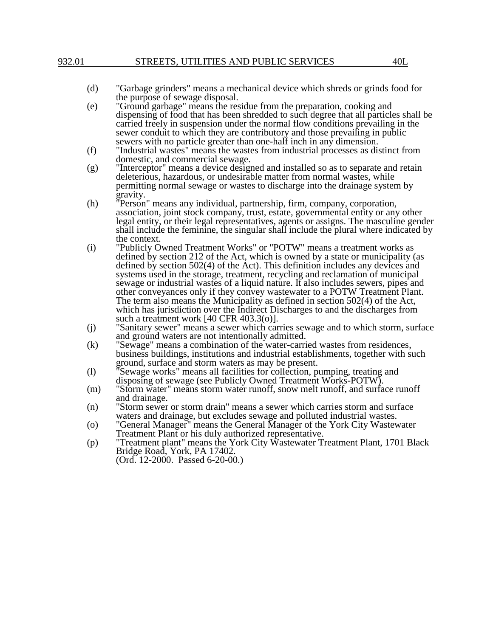- (d) "Garbage grinders" means a mechanical device which shreds or grinds food for the purpose of sewage disposal.
- (e) "Ground garbage" means the residue from the preparation, cooking and dispensing of food that has been shredded to such degree that all particles shall be carried freely in suspension under the normal flow conditions prevailing in the sewer conduit to which they are contributory and those prevailing in public sewers with no particle greater than one-half inch in any dimension.
- (f) "Industrial wastes" means the wastes from industrial processes as distinct from domestic, and commercial sewage.
- (g) "Interceptor" means a device designed and installed so as to separate and retain deleterious, hazardous, or undesirable matter from normal wastes, while permitting normal sewage or wastes to discharge into the drainage system by gravity.
- (h) "Person" means any individual, partnership, firm, company, corporation, association, joint stock company, trust, estate, governmental entity or any other legal entity, or their legal representatives, agents or assigns. The masculine gender shall include the feminine, the singular shall include the plural where indicated by the context.
- (i) "Publicly Owned Treatment Works" or "POTW" means a treatment works as defined by section 212 of the Act, which is owned by a state or municipality (as defined by section 502(4) of the Act). This definition includes any devices and systems used in the storage, treatment, recycling and reclamation of municipal sewage or industrial wastes of a liquid nature. It also includes sewers, pipes and other conveyances only if they convey wastewater to a POTW Treatment Plant. The term also means the Municipality as defined in section 502(4) of the Act, which has jurisdiction over the Indirect Discharges to and the discharges from such a treatment work [40 CFR 403.3(o)].
- (j) "Sanitary sewer" means a sewer which carries sewage and to which storm, surface and ground waters are not intentionally admitted.
- (k) "Sewage" means a combination of the water-carried wastes from residences, business buildings, institutions and industrial establishments, together with such ground, surface and storm waters as may be present.
- (l) "Sewage works" means all facilities for collection, pumping, treating and disposing of sewage (see Publicly Owned Treatment Works-POTW).
- (m) "Storm water" means storm water runoff, snow melt runoff, and surface runoff and drainage.
- (n) "Storm sewer or storm drain" means a sewer which carries storm and surface waters and drainage, but excludes sewage and polluted industrial wastes.
- (o) "General Manager" means the General Manager of the York City Wastewater Treatment Plant or his duly authorized representative.
- (p) "Treatment plant" means the York City Wastewater Treatment Plant, 1701 Black Bridge Road, York, PA 17402. (Ord. 12-2000. Passed 6-20-00.)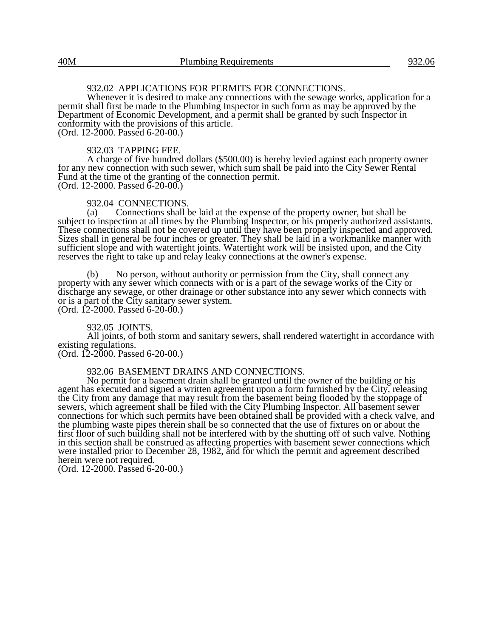# 932.02 APPLICATIONS FOR PERMITS FOR CONNECTIONS.

Whenever it is desired to make any connections with the sewage works, application for a permit shall first be made to the Plumbing Inspector in such form as may be approved by the Department of Economic Development, and a permit shall be granted by such Inspector in conformity with the provisions of this article. (Ord. 12-2000. Passed 6-20-00.)

#### 932.03 TAPPING FEE.

A charge of five hundred dollars (\$500.00) is hereby levied against each property owner for any new connection with such sewer, which sum shall be paid into the City Sewer Rental Fund at the time of the granting of the connection permit. (Ord. 12-2000. Passed  $6-20-00$ .)

### 932.04 CONNECTIONS.

(a) Connections shall be laid at the expense of the property owner, but shall be subject to inspection at all times by the Plumbing Inspector, or his properly authorized assistants. These connections shall not be covered up until they have been properly inspected and approved. Sizes shall in general be four inches or greater. They shall be laid in a workmanlike manner with sufficient slope and with watertight joints. Watertight work will be insisted upon, and the City reserves the right to take up and relay leaky connections at the owner's expense.

(b) No person, without authority or permission from the City, shall connect any property with any sewer which connects with or is a part of the sewage works of the City or discharge any sewage, or other drainage or other substance into any sewer which connects with or is a part of the City sanitary sewer system. (Ord. 12-2000. Passed 6-20-00.)

932.05 JOINTS.

All joints, of both storm and sanitary sewers, shall rendered watertight in accordance with existing regulations.

(Ord. 12-2000. Passed 6-20-00.)

# 932.06 BASEMENT DRAINS AND CONNECTIONS.

No permit for a basement drain shall be granted until the owner of the building or his agent has executed and signed a written agreement upon a form furnished by the City, releasing the City from any damage that may result from the basement being flooded by the stoppage of sewers, which agreement shall be filed with the City Plumbing Inspector. All basement sewer connections for which such permits have been obtained shall be provided with a check valve, and the plumbing waste pipes therein shall be so connected that the use of fixtures on or about the first floor of such building shall not be interfered with by the shutting off of such valve. Nothing in this section shall be construed as affecting properties with basement sewer connections which were installed prior to December 28, 1982, and for which the permit and agreement described herein were not required.

(Ord. 12-2000. Passed 6-20-00.)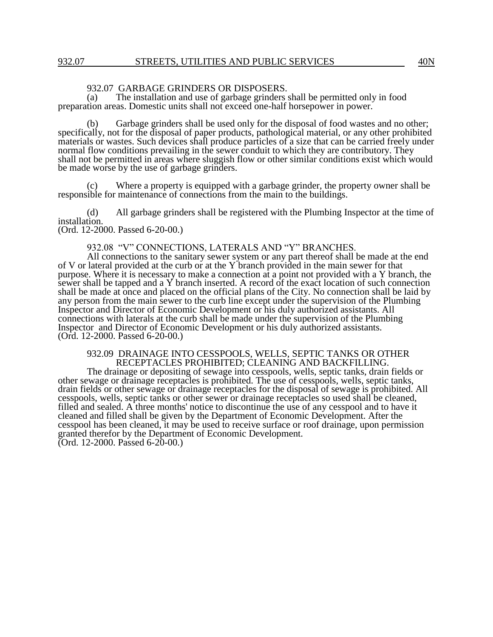# 932.07 GARBAGE GRINDERS OR DISPOSERS.<br>(a) The installation and use of garbage grinders

The installation and use of garbage grinders shall be permitted only in food preparation areas. Domestic units shall not exceed one-half horsepower in power.

(b) Garbage grinders shall be used only for the disposal of food wastes and no other; specifically, not for the disposal of paper products, pathological material, or any other prohibited materials or wastes. Such devices shall produce particles of a size that can be carried freely under normal flow conditions prevailing in the sewer conduit to which they are contributory. They shall not be permitted in areas where sluggish flow or other similar conditions exist which would be made worse by the use of garbage grinders.

Where a property is equipped with a garbage grinder, the property owner shall be responsible for maintenance of connections from the main to the buildings.

(d) All garbage grinders shall be registered with the Plumbing Inspector at the time of installation. (Ord. 12-2000. Passed 6-20-00.)

# 932.08 "V" CONNECTIONS, LATERALS AND "Y" BRANCHES.

All connections to the sanitary sewer system or any part thereof shall be made at the end of V or lateral provided at the curb or at the Y branch provided in the main sewer for that purpose. Where it is necessary to make a connection at a point not provided with a Y branch, the sewer shall be tapped and a Y branch inserted. A record of the exact location of such connection shall be made at once and placed on the official plans of the City. No connection shall be laid by any person from the main sewer to the curb line except under the supervision of the Plumbing Inspector and Director of Economic Development or his duly authorized assistants. All connections with laterals at the curb shall be made under the supervision of the Plumbing Inspector and Director of Economic Development or his duly authorized assistants. (Ord. 12-2000. Passed 6-20-00.)

### 932.09 DRAINAGE INTO CESSPOOLS, WELLS, SEPTIC TANKS OR OTHER RECEPTACLES PROHIBITED; CLEANING AND BACKFILLING.

The drainage or depositing of sewage into cesspools, wells, septic tanks, drain fields or other sewage or drainage receptacles is prohibited. The use of cesspools, wells, septic tanks, drain fields or other sewage or drainage receptacles for the disposal of sewage is prohibited. All cesspools, wells, septic tanks or other sewer or drainage receptacles so used shall be cleaned, filled and sealed. A three months' notice to discontinue the use of any cesspool and to have it cleaned and filled shall be given by the Department of Economic Development. After the cesspool has been cleaned, it may be used to receive surface or roof drainage, upon permission granted therefor by the Department of Economic Development. (Ord. 12-2000. Passed 6-20-00.)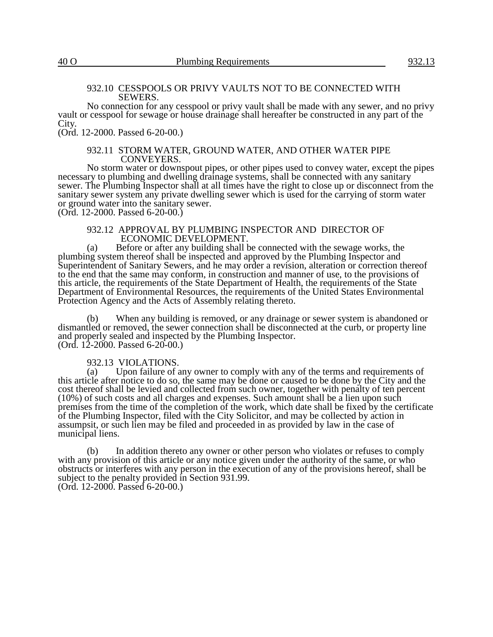# 932.10 CESSPOOLS OR PRIVY VAULTS NOT TO BE CONNECTED WITH SEWERS.

No connection for any cesspool or privy vault shall be made with any sewer, and no privy vault or cesspool for sewage or house drainage shall hereafter be constructed in any part of the City.

(Ord. 12-2000. Passed 6-20-00.)

# 932.11 STORM WATER, GROUND WATER, AND OTHER WATER PIPE CONVEYERS.

No storm water or downspout pipes, or other pipes used to convey water, except the pipes necessary to plumbing and dwelling drainage systems, shall be connected with any sanitary sewer. The Plumbing Inspector shall at all times have the right to close up or disconnect from the sanitary sewer system any private dwelling sewer which is used for the carrying of storm water or ground water into the sanitary sewer.

(Ord. 12-2000. Passed 6-20-00.)

# 932.12 APPROVAL BY PLUMBING INSPECTOR AND DIRECTOR OF ECONOMIC DEVELOPMENT.

(a) Before or after any building shall be connected with the sewage works, the plumbing system thereof shall be inspected and approved by the Plumbing Inspector and Superintendent of Sanitary Sewers, and he may order a revision, alteration or correction thereof to the end that the same may conform, in construction and manner of use, to the provisions of this article, the requirements of the State Department of Health, the requirements of the State Department of Environmental Resources, the requirements of the United States Environmental Protection Agency and the Acts of Assembly relating thereto.

(b) When any building is removed, or any drainage or sewer system is abandoned or dismantled or removed, the sewer connection shall be disconnected at the curb, or property line and properly sealed and inspected by the Plumbing Inspector. (Ord. 12-2000. Passed 6-20-00.)

# 932.13 VIOLATIONS.

(a) Upon failure of any owner to comply with any of the terms and requirements of this article after notice to do so, the same may be done or caused to be done by the City and the cost thereof shall be levied and collected from such owner, together with penalty of ten percent (10%) of such costs and all charges and expenses. Such amount shall be a lien upon such premises from the time of the completion of the work, which date shall be fixed by the certificate of the Plumbing Inspector, filed with the City Solicitor, and may be collected by action in assumpsit, or such lien may be filed and proceeded in as provided by law in the case of municipal liens.

(b) In addition thereto any owner or other person who violates or refuses to comply with any provision of this article or any notice given under the authority of the same, or who obstructs or interferes with any person in the execution of any of the provisions hereof, shall be subject to the penalty provided in Section 931.99. (Ord. 12-2000. Passed 6-20-00.)